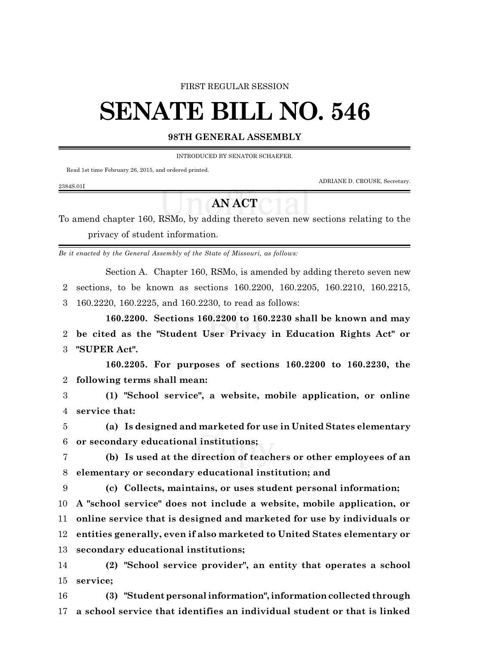#### FIRST REGULAR SESSION

# **SENATE BILL NO. 546**

### **98TH GENERAL ASSEMBLY**

INTRODUCED BY SENATOR SCHAEFER.

Read 1st time February 26, 2015, and ordered printed.

ADRIANE D. CROUSE, Secretary.

#### 2384S.01I

## **AN ACT**

To amend chapter 160, RSMo, by adding thereto seven new sections relating to the privacy of student information.

*Be it enacted by the General Assembly of the State of Missouri, as follows:*

Section A. Chapter 160, RSMo, is amended by adding thereto seven new 2 sections, to be known as sections 160.2200, 160.2205, 160.2210, 160.2215, 3 160.2220, 160.2225, and 160.2230, to read as follows:

**160.2200. Sections 160.2200 to 160.2230 shall be known and may** 2 **be cited as the "Student User Privacy in Education Rights Act" or** 3 **"SUPER Act".**

**160.2205. For purposes of sections 160.2200 to 160.2230, the** 2 **following terms shall mean:**

3 **(1) "School service", a website, mobile application, or online** 4 **service that:**

5 **(a) Is designed and marketed for use in United States elementary** 6 **or secondary educational institutions;**

7 **(b) Is used at the direction of teachers or other employees of an** 8 **elementary or secondary educational institution; and**

 **(c) Collects, maintains, or uses student personal information; A "school service" does not include a website, mobile application, or online service that is designed and marketed for use by individuals or entities generally, even if also marketed to United States elementary or secondary educational institutions;**

14 **(2) "School service provider", an entity that operates a school** 15 **service;**

16 **(3) "Studentpersonalinformation",informationcollected through** 17 **a school service that identifies an individual student or that is linked**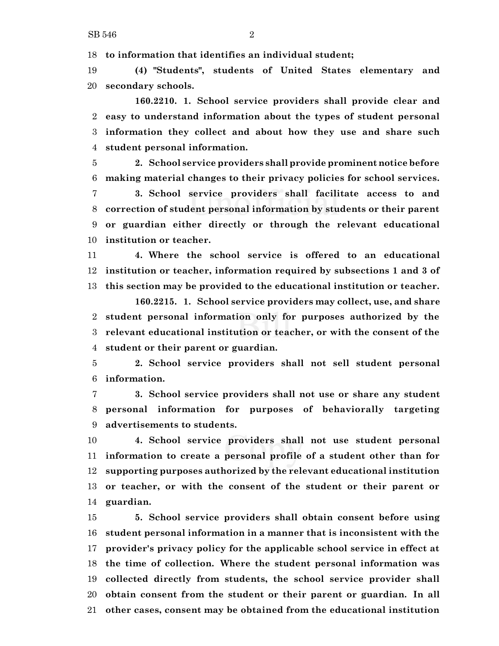**to information that identifies an individual student;**

 **(4) "Students", students of United States elementary and secondary schools.**

**160.2210. 1. School service providers shall provide clear and easy to understand information about the types of student personal information they collect and about how they use and share such student personal information.**

 **2. School service providers shall provide prominent notice before making material changes to their privacy policies for school services.**

 **3. School service providers shall facilitate access to and correction of student personal information by students or their parent or guardian either directly or through the relevant educational institution or teacher.**

 **4. Where the school service is offered to an educational institution or teacher, information required by subsections 1 and 3 of this section may be provided to the educational institution or teacher.**

**160.2215. 1. School service providers may collect, use, and share student personal information only for purposes authorized by the relevant educational institution or teacher, or with the consent of the student or their parent or guardian.**

 **2. School service providers shall not sell student personal information.**

 **3. School service providers shall not use or share any student personal information for purposes of behaviorally targeting advertisements to students.**

 **4. School service providers shall not use student personal information to create a personal profile of a student other than for supporting purposes authorized by the relevant educational institution or teacher, or with the consent of the student or their parent or guardian.**

 **5. School service providers shall obtain consent before using student personal information in a manner that is inconsistent with the provider's privacy policy for the applicable school service in effect at the time of collection. Where the student personal information was collected directly from students, the school service provider shall obtain consent from the student or their parent or guardian. In all other cases, consent may be obtained from the educational institution**